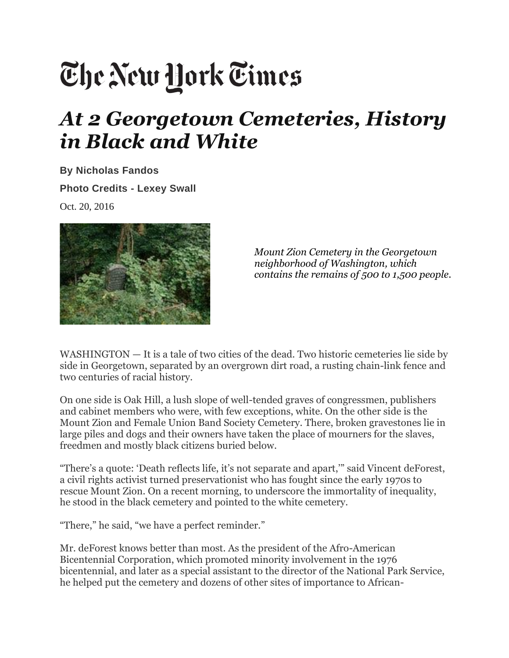## The New York Times

## *At 2 Georgetown Cemeteries, History in Black and White*

**By [Nicholas](https://www.nytimes.com/by/nicholas-fandos) Fandos Photo Credits - Lexey Swall** Oct. 20, 2016



*Mount Zion Cemetery in the Georgetown neighborhood of Washington, which contains the remains of 500 to 1,500 people*.

WASHINGTON — It is a tale of two cities of the dead. Two historic cemeteries lie side by side in Georgetown, separated by an overgrown dirt road, a rusting chain-link fence and two centuries of racial history.

On one side is Oak Hill, a lush slope of well-tended graves of congressmen, publishers and cabinet members who were, with few exceptions, white. On the other side is the Mount Zion and Female Union Band Society Cemetery. There, broken gravestones lie in large piles and dogs and their owners have taken the place of mourners for the slaves, freedmen and mostly black citizens buried below.

"There's a quote: 'Death reflects life, it's not separate and apart,'" said Vincent deForest, a civil rights activist turned preservationist who has fought since the early 1970s to rescue Mount Zion. On a recent morning, to underscore the immortality of inequality, he stood in the black cemetery and pointed to the white cemetery.

"There," he said, "we have a perfect reminder."

Mr. deForest knows better than most. As the president of the Afro-American Bicentennial Corporation, which promoted minority involvement in the 1976 bicentennial, and later as a special assistant to the director of the National Park Service, he helped put the cemetery and dozens of other sites of importance to African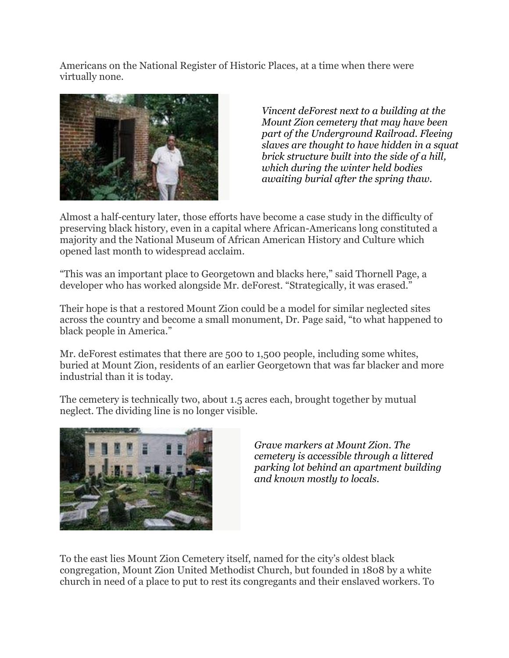Americans on the National Register of Historic Places, at a time when there were virtually none.



*Vincent deForest next to a building at the Mount Zion cemetery that may have been part of the Underground Railroad. Fleeing slaves are thought to have hidden in a squat brick structure built into the side of a hill, which during the winter held bodies awaiting burial after the spring thaw.* 

Almost a half-century later, those efforts have become a case study in the difficulty of preserving black history, even in a capital where African-Americans long constituted a majority and the National Museum of African American History and Culture which opened last month to widespread acclaim.

"This was an important place to Georgetown and blacks here," said Thornell Page, a developer who has worked alongside Mr. deForest. "Strategically, it was erased."

Their hope is that a restored Mount Zion could be a model for similar neglected sites across the country and become a small monument, Dr. Page said, "to what happened to black people in America."

Mr. deForest estimates that there are 500 to 1,500 people, including some whites, buried at Mount Zion, residents of an earlier Georgetown that was far blacker and more industrial than it is today.

The cemetery is technically two, about 1.5 acres each, brought together by mutual neglect. The dividing line is no longer visible.



*Grave markers at Mount Zion. The cemetery is accessible through a littered parking lot behind an apartment building and known mostly to locals.* 

To the east lies Mount Zion Cemetery itself, named for the city's oldest black congregation, Mount Zion United Methodist Church, but founded in 1808 by a white church in need of a place to put to rest its congregants and their enslaved workers. To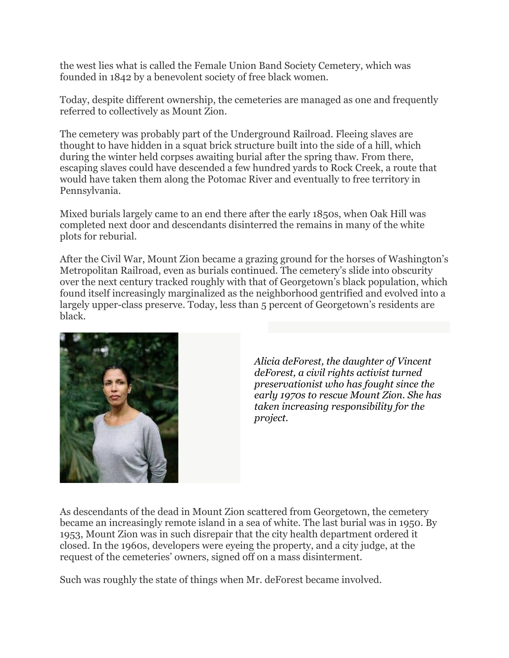the west lies what is called the Female Union Band Society Cemetery, which was founded in 1842 by a benevolent society of free black women.

Today, despite different ownership, the cemeteries are managed as one and frequently referred to collectively as Mount Zion.

The cemetery was probably part of the Underground Railroad. Fleeing slaves are thought to have hidden in a squat brick structure built into the side of a hill, which during the winter held corpses awaiting burial after the spring thaw. From there, escaping slaves could have descended a few hundred yards to Rock Creek, a route that would have taken them along the Potomac River and eventually to free territory in Pennsylvania.

Mixed burials largely came to an end there after the early 1850s, when Oak Hill was completed next door and descendants disinterred the remains in many of the white plots for reburial.

After the Civil War, Mount Zion became a grazing ground for the horses of Washington's Metropolitan Railroad, even as burials continued. The cemetery's slide into obscurity over the next century tracked roughly with that of Georgetown's black population, which found itself increasingly marginalized as the neighborhood gentrified and evolved into a largely upper-class preserve. Today, less than 5 percent of Georgetown's residents are black.



*Alicia deForest, the daughter of Vincent deForest, a civil rights activist turned preservationist who has fought since the early 1970s to rescue Mount Zion. She has taken increasing responsibility for the project.*

As descendants of the dead in Mount Zion scattered from Georgetown, the cemetery became an increasingly remote island in a sea of white. The last burial was in 1950. By 1953, Mount Zion was in such disrepair that the city health department ordered it closed. In the 1960s, developers were eyeing the property, and a city judge, at the request of the cemeteries' owners, signed off on a mass disinterment.

Such was roughly the state of things when Mr. deForest became involved.